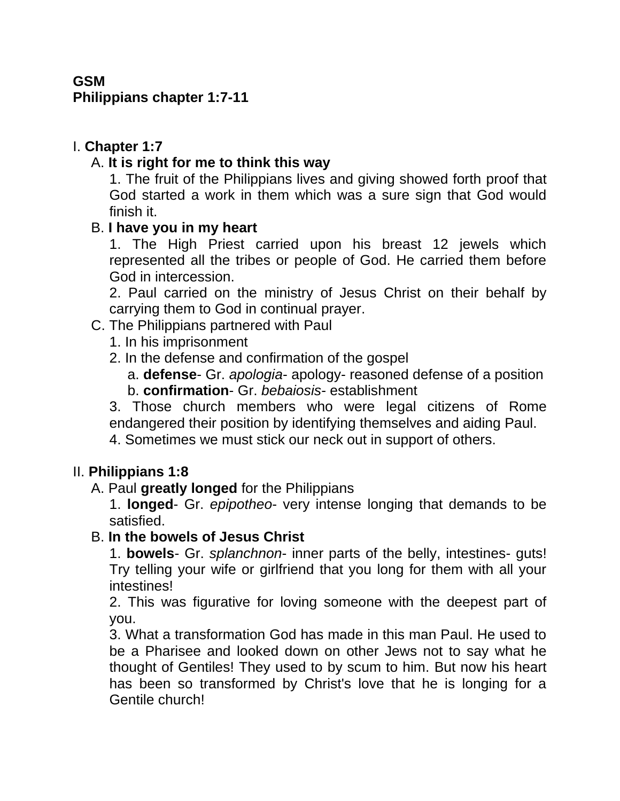## **GSM**

#### **Philippians chapter 1:7-11**

## I. **Chapter 1:7**

## A. **It is right for me to think this way**

1. The fruit of the Philippians lives and giving showed forth proof that God started a work in them which was a sure sign that God would finish it.

### B. **I have you in my heart**

1. The High Priest carried upon his breast 12 jewels which represented all the tribes or people of God. He carried them before God in intercession.

2. Paul carried on the ministry of Jesus Christ on their behalf by carrying them to God in continual prayer.

## C. The Philippians partnered with Paul

- 1. In his imprisonment
- 2. In the defense and confirmation of the gospel
	- a. **defense** Gr. *apologia* apology- reasoned defense of a position b. **confirmation**- Gr. *bebaiosis*- establishment

3. Those church members who were legal citizens of Rome endangered their position by identifying themselves and aiding Paul.

4. Sometimes we must stick our neck out in support of others.

## II. **Philippians 1:8**

### A. Paul **greatly longed** for the Philippians

1. **longed**- Gr. *epipotheo*- very intense longing that demands to be satisfied.

### B. **In the bowels of Jesus Christ**

1. **bowels**- Gr. *splanchnon*- inner parts of the belly, intestines- guts! Try telling your wife or girlfriend that you long for them with all your intestines!

2. This was figurative for loving someone with the deepest part of you.

3. What a transformation God has made in this man Paul. He used to be a Pharisee and looked down on other Jews not to say what he thought of Gentiles! They used to by scum to him. But now his heart has been so transformed by Christ's love that he is longing for a Gentile church!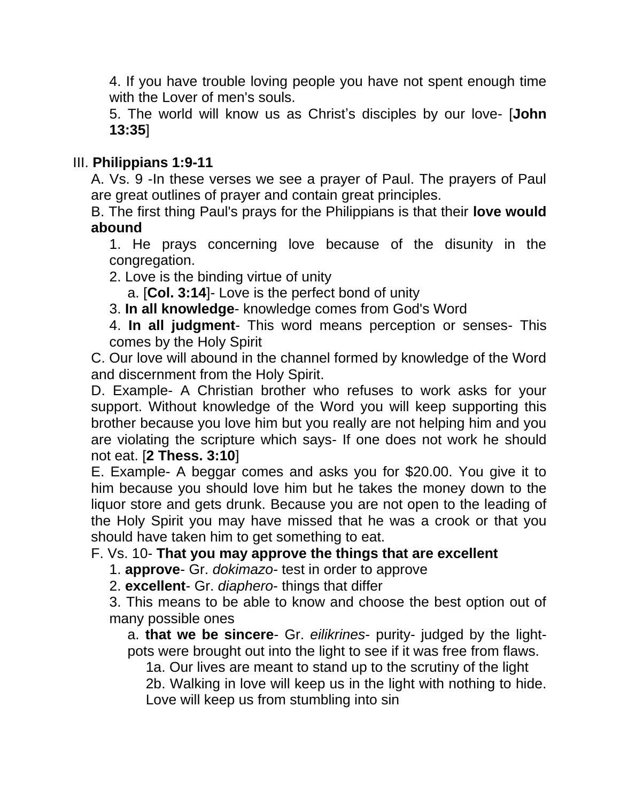4. If you have trouble loving people you have not spent enough time with the Lover of men's souls.

5. The world will know us as Christ's disciples by our love- [**John 13:35**]

# III. **Philippians 1:9-11**

A. Vs. 9 -In these verses we see a prayer of Paul. The prayers of Paul are great outlines of prayer and contain great principles.

B. The first thing Paul's prays for the Philippians is that their **love would abound**

1. He prays concerning love because of the disunity in the congregation.

2. Love is the binding virtue of unity

a. [**Col. 3:14**]- Love is the perfect bond of unity

3. **In all knowledge**- knowledge comes from God's Word

4. **In all judgment**- This word means perception or senses- This comes by the Holy Spirit

C. Our love will abound in the channel formed by knowledge of the Word and discernment from the Holy Spirit.

D. Example- A Christian brother who refuses to work asks for your support. Without knowledge of the Word you will keep supporting this brother because you love him but you really are not helping him and you are violating the scripture which says- If one does not work he should not eat. [**2 Thess. 3:10**]

E. Example- A beggar comes and asks you for \$20.00. You give it to him because you should love him but he takes the money down to the liquor store and gets drunk. Because you are not open to the leading of the Holy Spirit you may have missed that he was a crook or that you should have taken him to get something to eat.

## F. Vs. 10- **That you may approve the things that are excellent**

1. **approve**- Gr. *dokimazo*- test in order to approve

2. **excellent**- Gr. *diaphero*- things that differ

3. This means to be able to know and choose the best option out of many possible ones

a. **that we be sincere**- Gr. *eilikrines*- purity- judged by the lightpots were brought out into the light to see if it was free from flaws.

1a. Our lives are meant to stand up to the scrutiny of the light 2b. Walking in love will keep us in the light with nothing to hide. Love will keep us from stumbling into sin